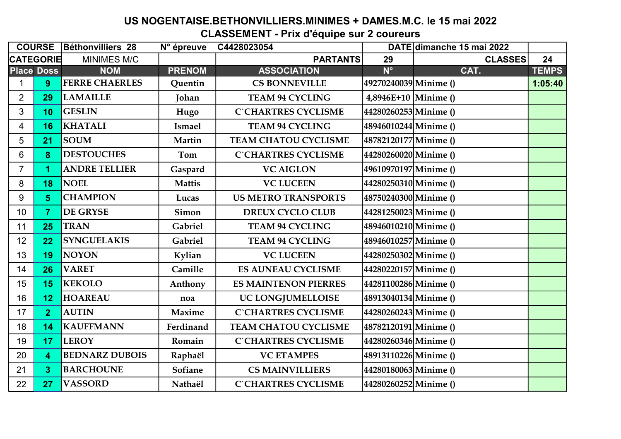## US NOGENTAISE.BETHONVILLIERS.MINIMES + DAMES.M.C. le 15 mai 2022 CLASSEMENT - Prix d'équipe sur 2 coureurs

|                  |                   | <b>COURSE Béthonvilliers 28</b> | N° épreuve    | C4428023054                 |                        | DATE dimanche 15 mai 2022 |              |
|------------------|-------------------|---------------------------------|---------------|-----------------------------|------------------------|---------------------------|--------------|
| <b>CATEGORIE</b> |                   | <b>MINIMES M/C</b>              |               | <b>PARTANTS</b>             | 29                     | <b>CLASSES</b>            | 24           |
|                  | <b>Place Doss</b> | <b>NOM</b>                      | <b>PRENOM</b> | <b>ASSOCIATION</b>          | $N^{\circ}$            | CAT.                      | <b>TEMPS</b> |
|                  | 9                 | <b>FERRE CHAERLES</b>           | Quentin       | <b>CS BONNEVILLE</b>        | 49270240039 Minime ()  |                           | 1:05:40      |
| $\overline{2}$   | 29                | <b>LAMAILLE</b>                 | Johan         | <b>TEAM 94 CYCLING</b>      | $4,8946E+10$ Minime () |                           |              |
| 3                | 10                | <b>GESLIN</b>                   | Hugo          | <b>C`CHARTRES CYCLISME</b>  | 44280260253 Minime ()  |                           |              |
| $\overline{4}$   | 16                | <b>KHATALI</b>                  | <b>Ismael</b> | <b>TEAM 94 CYCLING</b>      | 48946010244 Minime ()  |                           |              |
| 5                | 21                | <b>SOUM</b>                     | Martin        | <b>TEAM CHATOU CYCLISME</b> | 48782120177 Minime ()  |                           |              |
| 6                | 8                 | <b>DESTOUCHES</b>               | Tom           | <b>C`CHARTRES CYCLISME</b>  | 44280260020 Minime ()  |                           |              |
| $\overline{7}$   | 1                 | <b>ANDRE TELLIER</b>            | Gaspard       | <b>VC AIGLON</b>            | 49610970197 Minime ()  |                           |              |
| 8                | 18                | <b>NOEL</b>                     | <b>Mattis</b> | <b>VC LUCEEN</b>            | 44280250310 Minime ()  |                           |              |
| 9                | 5                 | <b>CHAMPION</b>                 | Lucas         | <b>US METRO TRANSPORTS</b>  | 48750240300 Minime ()  |                           |              |
| 10               | $\overline{7}$    | <b>DE GRYSE</b>                 | Simon         | <b>DREUX CYCLO CLUB</b>     | 44281250023 Minime ()  |                           |              |
| 11               | 25                | <b>TRAN</b>                     | Gabriel       | <b>TEAM 94 CYCLING</b>      | 48946010210 Minime ()  |                           |              |
| 12               | 22                | <b>SYNGUELAKIS</b>              | Gabriel       | <b>TEAM 94 CYCLING</b>      | 48946010257 Minime ()  |                           |              |
| 13               | 19                | <b>NOYON</b>                    | Kylian        | <b>VC LUCEEN</b>            | 44280250302 Minime ()  |                           |              |
| 14               | 26                | <b>VARET</b>                    | Camille       | <b>ES AUNEAU CYCLISME</b>   | 44280220157 Minime ()  |                           |              |
| 15               | 15                | <b>KEKOLO</b>                   | Anthony       | <b>ES MAINTENON PIERRES</b> | 44281100286 Minime ()  |                           |              |
| 16               | 12                | <b>HOAREAU</b>                  | noa           | UC LONGJUMELLOISE           | 48913040134 Minime ()  |                           |              |
| 17               | $\overline{2}$    | <b>AUTIN</b>                    | Maxime        | <b>C`CHARTRES CYCLISME</b>  | 44280260243 Minime ()  |                           |              |
| 18               | 14                | <b>KAUFFMANN</b>                | Ferdinand     | <b>TEAM CHATOU CYCLISME</b> | 48782120191 Minime ()  |                           |              |
| 19               | 17                | <b>LEROY</b>                    | Romain        | <b>C`CHARTRES CYCLISME</b>  | 44280260346 Minime ()  |                           |              |
| 20               | 4                 | <b>BEDNARZ DUBOIS</b>           | Raphaël       | <b>VC ETAMPES</b>           | 48913110226 Minime ()  |                           |              |
| 21               | 3                 | <b>BARCHOUNE</b>                | Sofiane       | <b>CS MAINVILLIERS</b>      | 44280180063 Minime ()  |                           |              |
| 22               | 27                | <b>VASSORD</b>                  | Nathaël       | <b>C`CHARTRES CYCLISME</b>  | 44280260252Minime()    |                           |              |